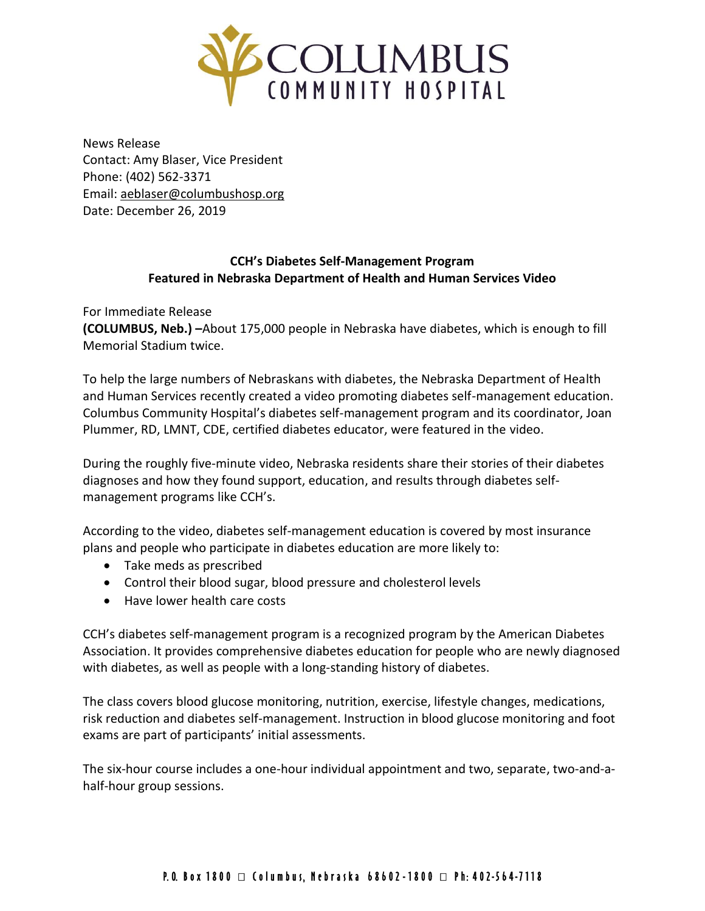

News Release Contact: Amy Blaser, Vice President Phone: (402) 562-3371 Email: [aeblaser@columbushosp.org](mailto:aeblaser@columbushosp.org) Date: December 26, 2019

## **CCH's Diabetes Self-Management Program Featured in Nebraska Department of Health and Human Services Video**

For Immediate Release

**(COLUMBUS, Neb.) –**About 175,000 people in Nebraska have diabetes, which is enough to fill Memorial Stadium twice.

To help the large numbers of Nebraskans with diabetes, the Nebraska Department of Health and Human Services recently created a video promoting diabetes self-management education. Columbus Community Hospital's diabetes self-management program and its coordinator, Joan Plummer, RD, LMNT, CDE, certified diabetes educator, were featured in the video.

During the roughly five-minute video, Nebraska residents share their stories of their diabetes diagnoses and how they found support, education, and results through diabetes selfmanagement programs like CCH's.

According to the video, diabetes self-management education is covered by most insurance plans and people who participate in diabetes education are more likely to:

- Take meds as prescribed
- Control their blood sugar, blood pressure and cholesterol levels
- Have lower health care costs

CCH's diabetes self-management program is a recognized program by the American Diabetes Association. It provides comprehensive diabetes education for people who are newly diagnosed with diabetes, as well as people with a long-standing history of diabetes.

The class covers blood glucose monitoring, nutrition, exercise, lifestyle changes, medications, risk reduction and diabetes self-management. Instruction in blood glucose monitoring and foot exams are part of participants' initial assessments.

The six-hour course includes a one-hour individual appointment and two, separate, two-and-ahalf-hour group sessions.